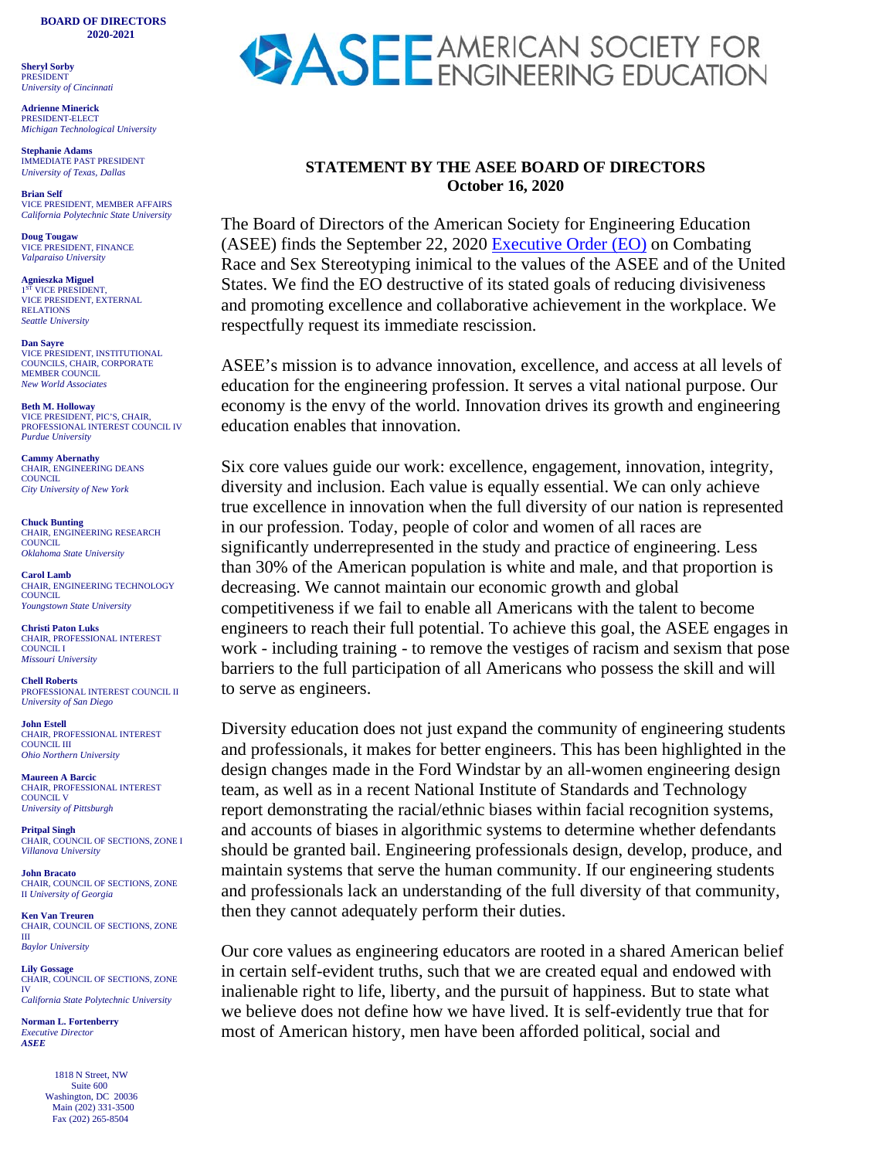**BOARD OF DIRECTORS 2020-2021**

**Sheryl Sorby**  PRESIDENT *University of Cincinnati*

**Adrienne Minerick** PRESIDENT-ELECT *Michigan Technological University*

**Stephanie Adams** IMMEDIATE PAST PRESIDENT *University of Texas, Dallas*

**Brian Self** VICE PRESIDENT, MEMBER AFFAIRS *California Polytechnic State University*

**Doug Tougaw** VICE PRESIDENT, FINANCE *Valparaiso University*

**Agnieszka Miguel** VICE PRESIDENT. VICE PRESIDENT, EXTERNAL RELATIONS *Seattle University* 

**Dan Sayre** VICE PRESIDENT, INSTITUTIONAL COUNCILS, CHAIR, CORPORATE MEMBER COUNCIL *New World Associates*

**Beth M. Holloway** VICE PRESIDENT, PIC'S, CHAIR, PROFESSIONAL INTEREST COUNCIL IV *Purdue University*

**Cammy Abernathy**  CHAIR, ENGINEERING DEANS **COUNCIL** *City University of New York*

**Chuck Bunting** CHAIR, ENGINEERING RESEARCH COUNCIL. *Oklahoma State University*

**Carol Lamb** CHAIR, ENGINEERING TECHNOLOGY **COUNCIL** *Youngstown State University*

**Christi Paton Luks** CHAIR, PROFESSIONAL INTEREST COUNCIL I *Missouri University*

**Chell Roberts** PROFESSIONAL INTEREST COUNCIL II *University of San Diego*

**John Estell** CHAIR, PROFESSIONAL INTEREST COUNCIL III *Ohio Northern University* 

**Maureen A Barcic** CHAIR, PROFESSIONAL INTEREST COUNCIL V *University of Pittsburgh*

**Pritpal Singh** CHAIR, COUNCIL OF SECTIONS, ZONE I *Villanova University*

**John Bracato** CHAIR, COUNCIL OF SECTIONS, ZONE II *University of Georgia*

**Ken Van Treuren** CHAIR, COUNCIL OF SECTIONS, ZONE III *Baylor University*

**Lily Gossage** CHAIR, COUNCIL OF SECTIONS, ZONE IV *California State Polytechnic University* 

**Norman L. Fortenberry** *Executive Director*

*ASEE*

 1818 N Street, NW Suite 600 Washington, DC 20036 Main (202) 331-3500 Fax (202) 265-8504



## **STATEMENT BY THE ASEE BOARD OF DIRECTORS October 16, 2020**

The Board of Directors of the American Society for Engineering Education (ASEE) finds the September 22, 2020 [Executive Order \(EO\)](https://www.whitehouse.gov/presidential-actions/executive-order-combating-race-sex-stereotyping/) on Combating Race and Sex Stereotyping inimical to the values of the ASEE and of the United States. We find the EO destructive of its stated goals of reducing divisiveness and promoting excellence and collaborative achievement in the workplace. We respectfully request its immediate rescission.

ASEE's mission is to advance innovation, excellence, and access at all levels of education for the engineering profession. It serves a vital national purpose. Our economy is the envy of the world. Innovation drives its growth and engineering education enables that innovation.

Six core values guide our work: excellence, engagement, innovation, integrity, diversity and inclusion. Each value is equally essential. We can only achieve true excellence in innovation when the full diversity of our nation is represented in our profession. Today, people of color and women of all races are significantly underrepresented in the study and practice of engineering. Less than 30% of the American population is white and male, and that proportion is decreasing. We cannot maintain our economic growth and global competitiveness if we fail to enable all Americans with the talent to become engineers to reach their full potential. To achieve this goal, the ASEE engages in work - including training - to remove the vestiges of racism and sexism that pose barriers to the full participation of all Americans who possess the skill and will to serve as engineers.

Diversity education does not just expand the community of engineering students and professionals, it makes for better engineers. This has been highlighted in the design changes made in the Ford Windstar by an all-women engineering design team, as well as in a recent National Institute of Standards and Technology report demonstrating the racial/ethnic biases within facial recognition systems, and accounts of biases in algorithmic systems to determine whether defendants should be granted bail. Engineering professionals design, develop, produce, and maintain systems that serve the human community. If our engineering students and professionals lack an understanding of the full diversity of that community, then they cannot adequately perform their duties.

Our core values as engineering educators are rooted in a shared American belief in certain self-evident truths, such that we are created equal and endowed with inalienable right to life, liberty, and the pursuit of happiness. But to state what we believe does not define how we have lived. It is self-evidently true that for most of American history, men have been afforded political, social and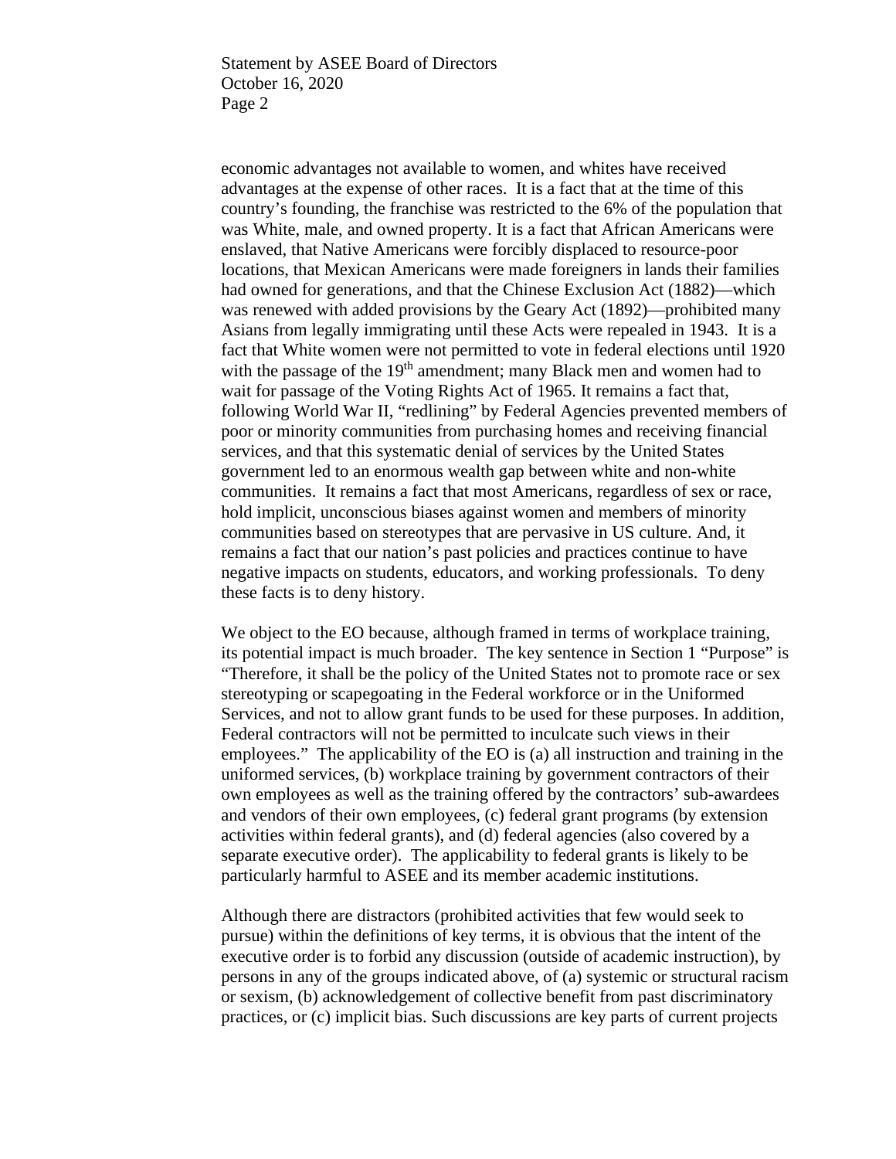Statement by ASEE Board of Directors October 16, 2020 Page 2

economic advantages not available to women, and whites have received advantages at the expense of other races. It is a fact that at the time of this country's founding, the franchise was restricted to the 6% of the population that was White, male, and owned property. It is a fact that African Americans were enslaved, that Native Americans were forcibly displaced to resource-poor locations, that Mexican Americans were made foreigners in lands their families had owned for generations, and that the Chinese Exclusion Act (1882)—which was renewed with added provisions by the Geary Act (1892)—prohibited many Asians from legally immigrating until these Acts were repealed in 1943. It is a fact that White women were not permitted to vote in federal elections until 1920 with the passage of the 19<sup>th</sup> amendment; many Black men and women had to wait for passage of the Voting Rights Act of 1965. It remains a fact that, following World War II, "redlining" by Federal Agencies prevented members of poor or minority communities from purchasing homes and receiving financial services, and that this systematic denial of services by the United States government led to an enormous wealth gap between white and non-white communities. It remains a fact that most Americans, regardless of sex or race, hold implicit, unconscious biases against women and members of minority communities based on stereotypes that are pervasive in US culture. And, it remains a fact that our nation's past policies and practices continue to have negative impacts on students, educators, and working professionals. To deny these facts is to deny history.

We object to the EO because, although framed in terms of workplace training, its potential impact is much broader. The key sentence in Section 1 "Purpose" is "Therefore, it shall be the policy of the United States not to promote race or sex stereotyping or scapegoating in the Federal workforce or in the Uniformed Services, and not to allow grant funds to be used for these purposes. In addition, Federal contractors will not be permitted to inculcate such views in their employees." The applicability of the EO is (a) all instruction and training in the uniformed services, (b) workplace training by government contractors of their own employees as well as the training offered by the contractors' sub-awardees and vendors of their own employees, (c) federal grant programs (by extension activities within federal grants), and (d) federal agencies (also covered by a separate executive order). The applicability to federal grants is likely to be particularly harmful to ASEE and its member academic institutions.

Although there are distractors (prohibited activities that few would seek to pursue) within the definitions of key terms, it is obvious that the intent of the executive order is to forbid any discussion (outside of academic instruction), by persons in any of the groups indicated above, of (a) systemic or structural racism or sexism, (b) acknowledgement of collective benefit from past discriminatory practices, or (c) implicit bias. Such discussions are key parts of current projects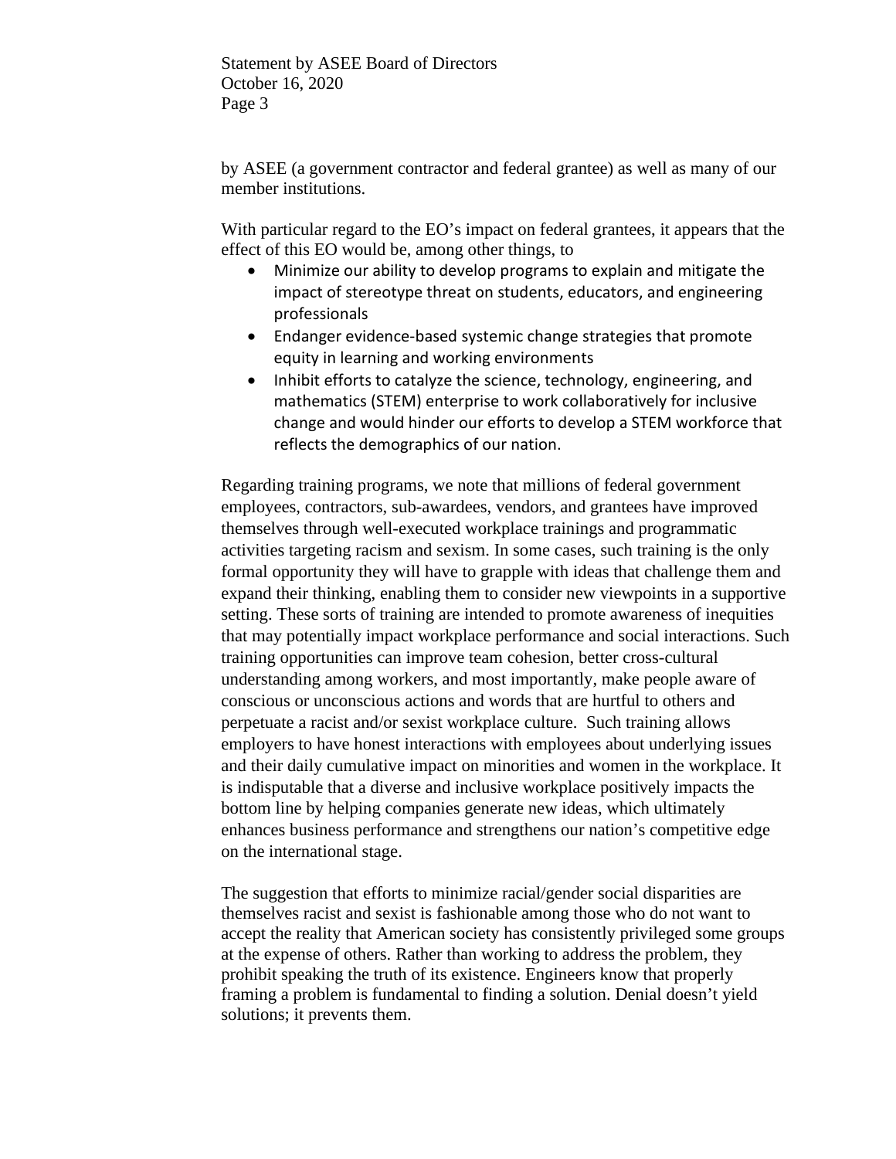Statement by ASEE Board of Directors October 16, 2020 Page 3

by ASEE (a government contractor and federal grantee) as well as many of our member institutions.

With particular regard to the EO's impact on federal grantees, it appears that the effect of this EO would be, among other things, to

- Minimize our ability to develop programs to explain and mitigate the impact of stereotype threat on students, educators, and engineering professionals
- Endanger evidence-based systemic change strategies that promote equity in learning and working environments
- Inhibit efforts to catalyze the science, technology, engineering, and mathematics (STEM) enterprise to work collaboratively for inclusive change and would hinder our efforts to develop a STEM workforce that reflects the demographics of our nation.

Regarding training programs, we note that millions of federal government employees, contractors, sub-awardees, vendors, and grantees have improved themselves through well-executed workplace trainings and programmatic activities targeting racism and sexism. In some cases, such training is the only formal opportunity they will have to grapple with ideas that challenge them and expand their thinking, enabling them to consider new viewpoints in a supportive setting. These sorts of training are intended to promote awareness of inequities that may potentially impact workplace performance and social interactions. Such training opportunities can improve team cohesion, better cross-cultural understanding among workers, and most importantly, make people aware of conscious or unconscious actions and words that are hurtful to others and perpetuate a racist and/or sexist workplace culture. Such training allows employers to have honest interactions with employees about underlying issues and their daily cumulative impact on minorities and women in the workplace. It is indisputable that a diverse and inclusive workplace positively impacts the bottom line by helping companies generate new ideas, which ultimately enhances business performance and strengthens our nation's competitive edge on the international stage.

The suggestion that efforts to minimize racial/gender social disparities are themselves racist and sexist is fashionable among those who do not want to accept the reality that American society has consistently privileged some groups at the expense of others. Rather than working to address the problem, they prohibit speaking the truth of its existence. Engineers know that properly framing a problem is fundamental to finding a solution. Denial doesn't yield solutions; it prevents them.